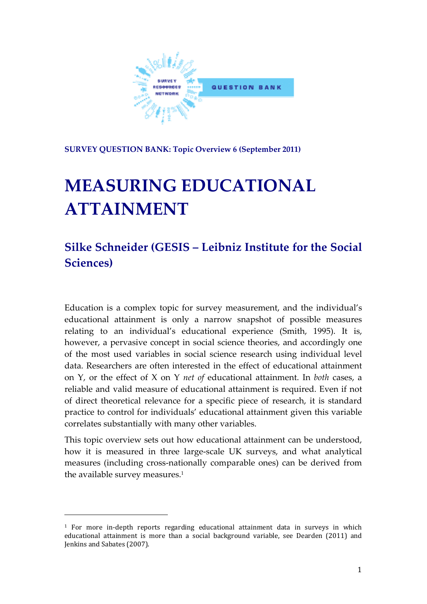

**SURVEY QUESTION BANK: Topic Overview 6 (September 2011)**

# **MEASURING EDUCATIONAL ATTAINMENT**

# **Silke Schneider (GESIS – Leibniz Institute for the Social Sciences)**

Education is a complex topic for survey measurement, and the individual's educational attainment is only a narrow snapshot of possible measures relating to an individual's educational experience (Smith, 1995). It is, however, a pervasive concept in social science theories, and accordingly one of the most used variables in social science research using individual level data. Researchers are often interested in the effect of educational attainment on Y, or the effect of X on Y *net of* educational attainment. In *both* cases, a reliable and valid measure of educational attainment is required. Even if not of direct theoretical relevance for a specific piece of research, it is standard practice to control for individuals' educational attainment given this variable correlates substantially with many other variables.

This topic overview sets out how educational attainment can be understood, how it is measured in three large-scale UK surveys, and what analytical measures (including cross‐nationally comparable ones) can be derived from the available survey measures.<sup>1</sup>

<sup>&</sup>lt;sup>1</sup> For more in-depth reports regarding educational attainment data in surveys in which educational attainment is more than a social background variable, see Dearden (2011) and Jenkins and Sabates (2007).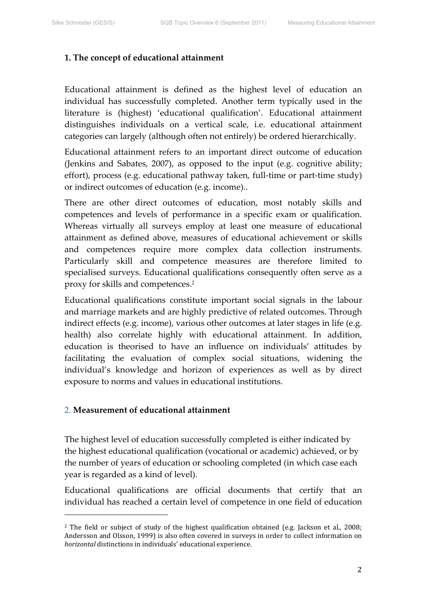# **1. The concept of educational attainment**

Educational attainment is defined as the highest level of education an individual has successfully completed. Another term typically used in the literature is (highest) 'educational qualification'. Educational attainment distinguishes individuals on a vertical scale, i.e. educational attainment categories can largely (although often not entirely) be ordered hierarchically.

Educational attainment refers to an important direct outcome of education (Jenkins and Sabates, 2007), as opposed to the input (e.g. cognitive ability; effort), process (e.g. educational pathway taken, full-time or part-time study) or indirect outcomes of education (e.g. income)..

There are other direct outcomes of education, most notably skills and competences and levels of performance in a specific exam or qualification. Whereas virtually all surveys employ at least one measure of educational attainment as defined above, measures of educational achievement or skills and competences require more complex data collection instruments. Particularly skill and competence measures are therefore limited to specialised surveys. Educational qualifications consequently often serve as a proxy for skills and competences.2

Educational qualifications constitute important social signals in the labour and marriage markets and are highly predictive of related outcomes. Through indirect effects (e.g. income), various other outcomes at later stages in life (e.g. health) also correlate highly with educational attainment. In addition, education is theorised to have an influence on individuals' attitudes by facilitating the evaluation of complex social situations, widening the individual's knowledge and horizon of experiences as well as by direct exposure to norms and values in educational institutions.

#### 2. **Measurement of educational attainment**

The highest level of education successfully completed is either indicated by the highest educational qualification (vocational or academic) achieved, or by the number of years of education or schooling completed (in which case each year is regarded as a kind of level).

Educational qualifications are official documents that certify that an individual has reached a certain level of competence in one field of education

<sup>&</sup>lt;sup>2</sup> The field or subject of study of the highest qualification obtained (e.g. Jackson et al., 2008; Andersson and Olsson, 1999) is also often covered in surveys in order to collect information on *horizontal* distinctions in individuals' educational experience.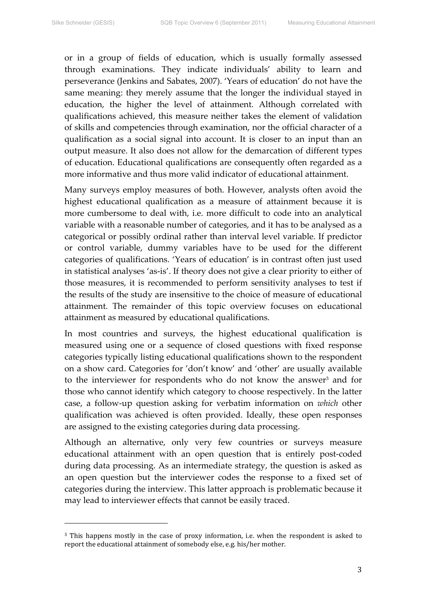or in a group of fields of education, which is usually formally assessed through examinations. They indicate individuals' ability to learn and perseverance (Jenkins and Sabates, 2007). 'Years of education' do not have the same meaning: they merely assume that the longer the individual stayed in education, the higher the level of attainment. Although correlated with qualifications achieved, this measure neither takes the element of validation of skills and competencies through examination, nor the official character of a qualification as a social signal into account. It is closer to an input than an output measure. It also does not allow for the demarcation of different types of education. Educational qualifications are consequently often regarded as a more informative and thus more valid indicator of educational attainment.

Many surveys employ measures of both. However, analysts often avoid the highest educational qualification as a measure of attainment because it is more cumbersome to deal with, i.e. more difficult to code into an analytical variable with a reasonable number of categories, and it has to be analysed as a categorical or possibly ordinal rather than interval level variable. If predictor or control variable, dummy variables have to be used for the different categories of qualifications. 'Years of education' is in contrast often just used in statistical analyses 'as‐is'. If theory does not give a clear priority to either of those measures, it is recommended to perform sensitivity analyses to test if the results of the study are insensitive to the choice of measure of educational attainment. The remainder of this topic overview focuses on educational attainment as measured by educational qualifications.

In most countries and surveys, the highest educational qualification is measured using one or a sequence of closed questions with fixed response categories typically listing educational qualifications shown to the respondent on a show card. Categories for 'don't know' and 'other' are usually available to the interviewer for respondents who do not know the answer<sup>3</sup> and for those who cannot identify which category to choose respectively. In the latter case, a follow‐up question asking for verbatim information on *which* other qualification was achieved is often provided. Ideally, these open responses are assigned to the existing categories during data processing.

Although an alternative, only very few countries or surveys measure educational attainment with an open question that is entirely post‐coded during data processing. As an intermediate strategy, the question is asked as an open question but the interviewer codes the response to a fixed set of categories during the interview. This latter approach is problematic because it may lead to interviewer effects that cannot be easily traced.

<sup>&</sup>lt;sup>3</sup> This happens mostly in the case of proxy information, i.e. when the respondent is asked to report the educational attainment of somebody else, e.g. his/her mother.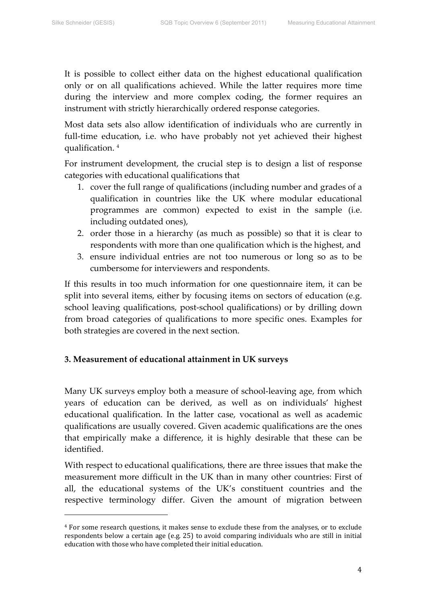It is possible to collect either data on the highest educational qualification only or on all qualifications achieved. While the latter requires more time during the interview and more complex coding, the former requires an instrument with strictly hierarchically ordered response categories.

Most data sets also allow identification of individuals who are currently in full-time education, i.e. who have probably not yet achieved their highest qualification. <sup>4</sup>

For instrument development, the crucial step is to design a list of response categories with educational qualifications that

- 1. cover the full range of qualifications (including number and grades of a qualification in countries like the UK where modular educational programmes are common) expected to exist in the sample (i.e. including outdated ones),
- 2. order those in a hierarchy (as much as possible) so that it is clear to respondents with more than one qualification which is the highest, and
- 3. ensure individual entries are not too numerous or long so as to be cumbersome for interviewers and respondents.

If this results in too much information for one questionnaire item, it can be split into several items, either by focusing items on sectors of education (e.g. school leaving qualifications, post-school qualifications) or by drilling down from broad categories of qualifications to more specific ones. Examples for both strategies are covered in the next section.

# **3. Measurement of educational attainment in UK surveys**

Many UK surveys employ both a measure of school-leaving age, from which years of education can be derived, as well as on individuals' highest educational qualification. In the latter case, vocational as well as academic qualifications are usually covered. Given academic qualifications are the ones that empirically make a difference, it is highly desirable that these can be identified.

With respect to educational qualifications, there are three issues that make the measurement more difficult in the UK than in many other countries: First of all, the educational systems of the UK's constituent countries and the respective terminology differ. Given the amount of migration between

<sup>4</sup> For some research questions, it makes sense to exclude these from the analyses, or to exclude respondents below a certain age (e.g. 25) to avoid comparing individuals who are still in initial education with those who have completed their initial education.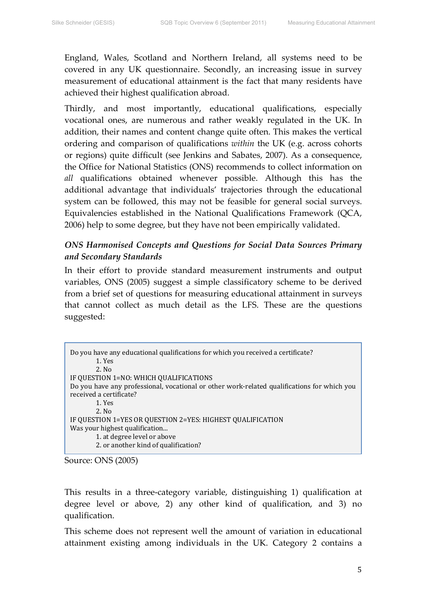England, Wales, Scotland and Northern Ireland, all systems need to be covered in any UK questionnaire. Secondly, an increasing issue in survey measurement of educational attainment is the fact that many residents have achieved their highest qualification abroad.

Thirdly, and most importantly, educational qualifications, especially vocational ones, are numerous and rather weakly regulated in the UK. In addition, their names and content change quite often. This makes the vertical ordering and comparison of qualifications *within* the UK (e.g. across cohorts or regions) quite difficult (see Jenkins and Sabates, 2007). As a consequence, the Office for National Statistics (ONS) recommends to collect information on *all* qualifications obtained whenever possible. Although this has the additional advantage that individuals' trajectories through the educational system can be followed, this may not be feasible for general social surveys. Equivalencies established in the National Qualifications Framework (QCA, 2006) help to some degree, but they have not been empirically validated.

# *ONS Harmonised Concepts and Questions for Social Data Sources Primary and Secondary Standards*

In their effort to provide standard measurement instruments and output variables, ONS (2005) suggest a simple classificatory scheme to be derived from a brief set of questions for measuring educational attainment in surveys that cannot collect as much detail as the LFS. These are the questions suggested:

| Do you have any educational qualifications for which you received a certificate?<br>1. Yes  |
|---------------------------------------------------------------------------------------------|
| 2. N <sub>0</sub>                                                                           |
| IF QUESTION 1=NO: WHICH QUALIFICATIONS                                                      |
| Do you have any professional, vocational or other work-related qualifications for which you |
| received a certificate?                                                                     |
| 1. Yes                                                                                      |
| 2. N <sub>0</sub>                                                                           |
| IF QUESTION 1=YES OR QUESTION 2=YES: HIGHEST QUALIFICATION                                  |
| Was your highest qualification                                                              |
| 1. at degree level or above                                                                 |
| 2. or another kind of qualification?                                                        |
|                                                                                             |

Source: ONS (2005)

This results in a three‐category variable, distinguishing 1) qualification at degree level or above, 2) any other kind of qualification, and 3) no qualification.

This scheme does not represent well the amount of variation in educational attainment existing among individuals in the UK. Category 2 contains a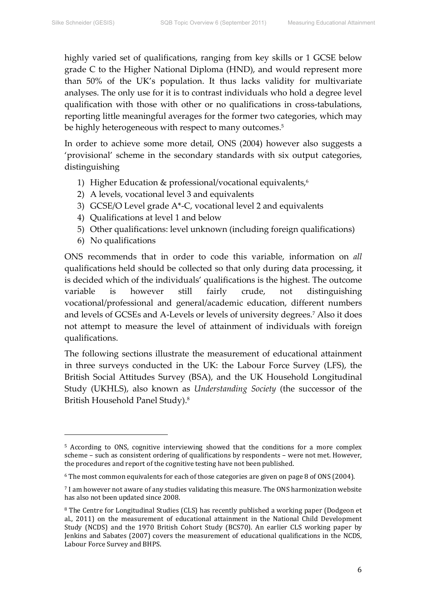highly varied set of qualifications, ranging from key skills or 1 GCSE below grade C to the Higher National Diploma (HND), and would represent more than 50% of the UK's population. It thus lacks validity for multivariate analyses. The only use for it is to contrast individuals who hold a degree level qualification with those with other or no qualifications in cross-tabulations, reporting little meaningful averages for the former two categories, which may be highly heterogeneous with respect to many outcomes.<sup>5</sup>

In order to achieve some more detail, ONS (2004) however also suggests a 'provisional' scheme in the secondary standards with six output categories, distinguishing

- 1) Higher Education & professional/vocational equivalents,<sup>6</sup>
- 2) A levels, vocational level 3 and equivalents
- 3) GCSE/O Level grade A\*‐C, vocational level 2 and equivalents
- 4) Qualifications at level 1 and below
- 5) Other qualifications: level unknown (including foreign qualifications)
- 6) No qualifications

ONS recommends that in order to code this variable, information on *all* qualifications held should be collected so that only during data processing, it is decided which of the individuals' qualifications is the highest. The outcome variable is however still fairly crude, not distinguishing vocational/professional and general/academic education, different numbers and levels of GCSEs and A‐Levels or levels of university degrees.7 Also it does not attempt to measure the level of attainment of individuals with foreign qualifications.

The following sections illustrate the measurement of educational attainment in three surveys conducted in the UK: the Labour Force Survey (LFS), the British Social Attitudes Survey (BSA), and the UK Household Longitudinal Study (UKHLS), also known as *Understanding Society* (the successor of the British Household Panel Study).8

<sup>5</sup> According to ONS, cognitive interviewing showed that the conditions for a more complex scheme – such as consistent ordering of qualifications by respondents – were not met. However, the procedures and report of the cognitive testing have not been published.

<sup>6</sup> The most common equivalents for each of those categories are given on page 8 of ONS (2004).

<sup>7</sup> I am however not aware of any studies validating this measure. The ONS harmonization website has also not been updated since 2008.

<sup>&</sup>lt;sup>8</sup> The Centre for Longitudinal Studies (CLS) has recently published a working paper (Dodgeon et al., 2011) on the measurement of educational attainment in the National Child Development Study (NCDS) and the 1970 British Cohort Study (BCS70). An earlier CLS working paper by Jenkins and Sabates (2007) covers the measurement of educational qualifications in the NCDS, Labour Force Survey and BHPS.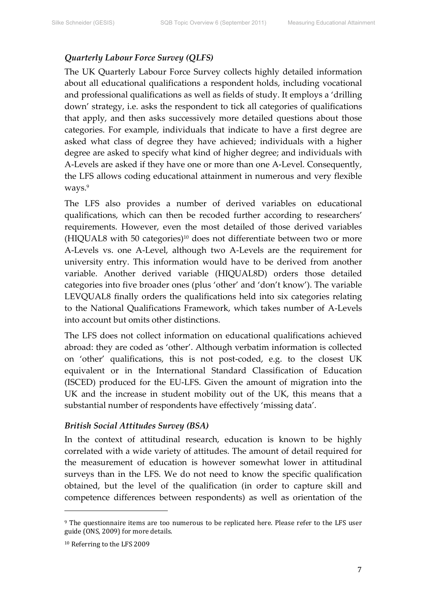#### *Quarterly Labour Force Survey (QLFS)*

The UK Quarterly Labour Force Survey collects highly detailed information about all educational qualifications a respondent holds, including vocational and professional qualifications as well as fields of study. It employs a 'drilling down' strategy, i.e. asks the respondent to tick all categories of qualifications that apply, and then asks successively more detailed questions about those categories. For example, individuals that indicate to have a first degree are asked what class of degree they have achieved; individuals with a higher degree are asked to specify what kind of higher degree; and individuals with A‐Levels are asked if they have one or more than one A‐Level. Consequently, the LFS allows coding educational attainment in numerous and very flexible ways.<sup>9</sup>

The LFS also provides a number of derived variables on educational qualifications, which can then be recoded further according to researchers' requirements. However, even the most detailed of those derived variables  $(HIQUAL8$  with 50 categories)<sup>10</sup> does not differentiate between two or more A‐Levels vs. one A‐Level, although two A‐Levels are the requirement for university entry. This information would have to be derived from another variable. Another derived variable (HIQUAL8D) orders those detailed categories into five broader ones (plus 'other' and 'don't know'). The variable LEVQUAL8 finally orders the qualifications held into six categories relating to the National Qualifications Framework, which takes number of A‐Levels into account but omits other distinctions.

The LFS does not collect information on educational qualifications achieved abroad: they are coded as 'other'. Although verbatim information is collected on 'other' qualifications, this is not post‐coded, e.g. to the closest UK equivalent or in the International Standard Classification of Education (ISCED) produced for the EU‐LFS. Given the amount of migration into the UK and the increase in student mobility out of the UK, this means that a substantial number of respondents have effectively 'missing data'.

#### *British Social Attitudes Survey (BSA)*

In the context of attitudinal research, education is known to be highly correlated with a wide variety of attitudes. The amount of detail required for the measurement of education is however somewhat lower in attitudinal surveys than in the LFS. We do not need to know the specific qualification obtained, but the level of the qualification (in order to capture skill and competence differences between respondents) as well as orientation of the

<sup>9</sup> The questionnaire items are too numerous to be replicated here. Please refer to the LFS user guide (ONS, 2009) for more details.

<sup>10</sup> Referring to the LFS 2009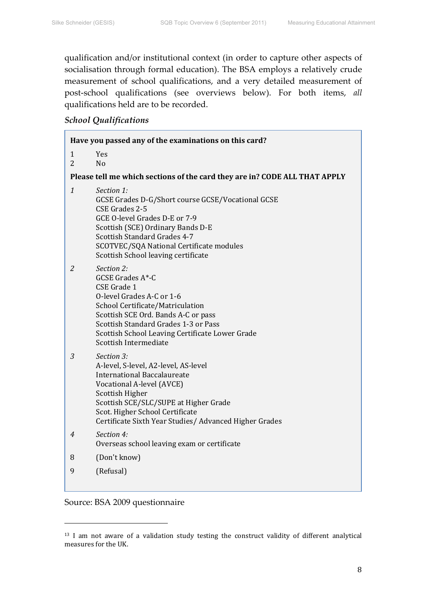qualification and/or institutional context (in order to capture other aspects of socialisation through formal education). The BSA employs a relatively crude measurement of school qualifications, and a very detailed measurement of post‐school qualifications (see overviews below). For both items, *all* qualifications held are to be recorded.

# *School Qualifications*

| Have you passed any of the examinations on this card? |                                                                                                                                                                                                                                                                                  |  |  |  |
|-------------------------------------------------------|----------------------------------------------------------------------------------------------------------------------------------------------------------------------------------------------------------------------------------------------------------------------------------|--|--|--|
| $\mathbf{1}$<br>$\overline{2}$                        | <b>Yes</b><br>N <sub>o</sub>                                                                                                                                                                                                                                                     |  |  |  |
|                                                       | Please tell me which sections of the card they are in? CODE ALL THAT APPLY                                                                                                                                                                                                       |  |  |  |
| $\mathbf{1}$                                          | Section 1:<br>GCSE Grades D-G/Short course GCSE/Vocational GCSE<br>CSE Grades 2-5<br>GCE O-level Grades D-E or 7-9<br>Scottish (SCE) Ordinary Bands D-E<br>Scottish Standard Grades 4-7<br>SCOTVEC/SQA National Certificate modules<br>Scottish School leaving certificate       |  |  |  |
| 2                                                     | Section 2:<br><b>GCSE Grades A*-C</b><br>CSE Grade 1<br>O-level Grades A-C or 1-6<br>School Certificate/Matriculation<br>Scottish SCE Ord. Bands A-C or pass<br>Scottish Standard Grades 1-3 or Pass<br>Scottish School Leaving Certificate Lower Grade<br>Scottish Intermediate |  |  |  |
| 3                                                     | Section 3:<br>A-level, S-level, A2-level, AS-level<br><b>International Baccalaureate</b><br>Vocational A-level (AVCE)<br>Scottish Higher<br>Scottish SCE/SLC/SUPE at Higher Grade<br>Scot. Higher School Certificate<br>Certificate Sixth Year Studies/ Advanced Higher Grades   |  |  |  |
| 4                                                     | Section 4:<br>Overseas school leaving exam or certificate                                                                                                                                                                                                                        |  |  |  |
| 8                                                     | (Don't know)                                                                                                                                                                                                                                                                     |  |  |  |
| 9                                                     | (Refusal)                                                                                                                                                                                                                                                                        |  |  |  |

Source: BSA 2009 questionnaire

<sup>&</sup>lt;sup>13</sup> I am not aware of a validation study testing the construct validity of different analytical measures for the UK.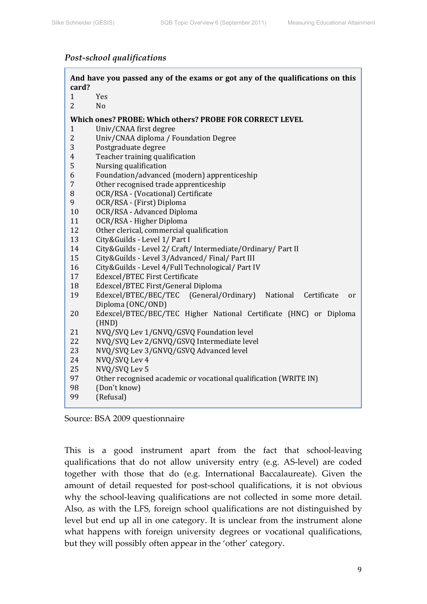#### *Post‐school qualifications*

| card?          | And have you passed any of the exams or got any of the qualifications on this       |  |  |  |  |
|----------------|-------------------------------------------------------------------------------------|--|--|--|--|
| 1              | Yes                                                                                 |  |  |  |  |
| $\overline{2}$ | N <sub>o</sub>                                                                      |  |  |  |  |
|                |                                                                                     |  |  |  |  |
|                | Which ones? PROBE: Which others? PROBE FOR CORRECT LEVEL                            |  |  |  |  |
| 1              | Univ/CNAA first degree                                                              |  |  |  |  |
| $\overline{2}$ | Univ/CNAA diploma / Foundation Degree                                               |  |  |  |  |
| 3              | Postgraduate degree                                                                 |  |  |  |  |
| $\overline{4}$ | Teacher training qualification                                                      |  |  |  |  |
| 5              | Nursing qualification                                                               |  |  |  |  |
| 6              | Foundation/advanced (modern) apprenticeship                                         |  |  |  |  |
| 7              | Other recognised trade apprenticeship                                               |  |  |  |  |
| 8              | OCR/RSA - (Vocational) Certificate                                                  |  |  |  |  |
| 9              | OCR/RSA - (First) Diploma                                                           |  |  |  |  |
| 10             | OCR/RSA - Advanced Diploma                                                          |  |  |  |  |
| 11             | OCR/RSA - Higher Diploma                                                            |  |  |  |  |
| 12             | Other clerical, commercial qualification                                            |  |  |  |  |
| 13             | City&Guilds - Level 1/ Part I                                                       |  |  |  |  |
| 14             | City&Guilds - Level 2/ Craft/ Intermediate/Ordinary/ Part II                        |  |  |  |  |
| 15             | City&Guilds - Level 3/Advanced/Final/Part III                                       |  |  |  |  |
| 16             | City&Guilds - Level 4/Full Technological/ Part IV                                   |  |  |  |  |
| 17             | Edexcel/BTEC First Certificate                                                      |  |  |  |  |
| 18             | Edexcel/BTEC First/General Diploma                                                  |  |  |  |  |
| 19             | Edexcel/BTEC/BEC/TEC (General/Ordinary)<br>National<br>Certificate<br><sub>or</sub> |  |  |  |  |
|                | Diploma (ONC/OND)                                                                   |  |  |  |  |
| 20             | Edexcel/BTEC/BEC/TEC Higher National Certificate (HNC) or Diploma                   |  |  |  |  |
|                | (HND)                                                                               |  |  |  |  |
| 21             | NVQ/SVQ Lev 1/GNVQ/GSVQ Foundation level                                            |  |  |  |  |
| 22             | NVQ/SVQ Lev 2/GNVQ/GSVQ Intermediate level                                          |  |  |  |  |
| 23             | NVQ/SVQ Lev 3/GNVQ/GSVQ Advanced level                                              |  |  |  |  |
| 24             | NVQ/SVQ Lev 4                                                                       |  |  |  |  |
| 25             | NVQ/SVQ Lev 5                                                                       |  |  |  |  |
| 97             | Other recognised academic or vocational qualification (WRITE IN)                    |  |  |  |  |
| 98             | (Don't know)                                                                        |  |  |  |  |
| 99             | (Refusal)                                                                           |  |  |  |  |
|                |                                                                                     |  |  |  |  |

Source: BSA 2009 questionnaire

This is a good instrument apart from the fact that school-leaving qualifications that do not allow university entry (e.g. AS‐level) are coded together with those that do (e.g. International Baccalaureate). Given the amount of detail requested for post‐school qualifications, it is not obvious why the school-leaving qualifications are not collected in some more detail. Also, as with the LFS, foreign school qualifications are not distinguished by level but end up all in one category. It is unclear from the instrument alone what happens with foreign university degrees or vocational qualifications, but they will possibly often appear in the 'other' category.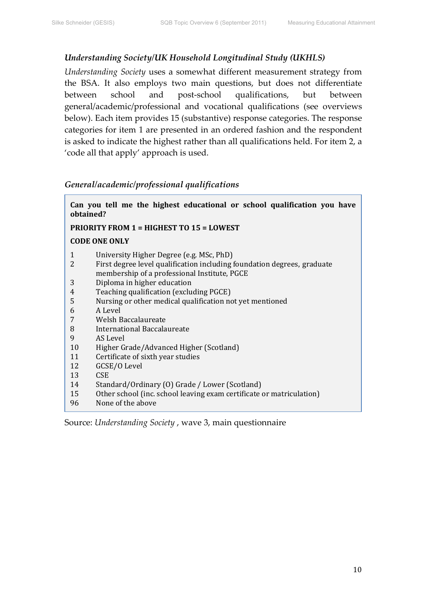#### *Understanding Society/UK Household Longitudinal Study (UKHLS)*

*Understanding Society* uses a somewhat different measurement strategy from the BSA. It also employs two main questions, but does not differentiate between school and post-school qualifications, but between general/academic/professional and vocational qualifications (see overviews below). Each item provides 15 (substantive) response categories. The response categories for item 1 are presented in an ordered fashion and the respondent is asked to indicate the highest rather than all qualifications held. For item 2, a 'code all that apply' approach is used.

#### *General/academic/professional qualifications*

| Can you tell me the highest educational or school qualification you have<br>obtained?                                                                                                                                                                                                                                                                                                                                                                                                                                                                                                                                                                                                                                      |  |  |  |  |
|----------------------------------------------------------------------------------------------------------------------------------------------------------------------------------------------------------------------------------------------------------------------------------------------------------------------------------------------------------------------------------------------------------------------------------------------------------------------------------------------------------------------------------------------------------------------------------------------------------------------------------------------------------------------------------------------------------------------------|--|--|--|--|
| <b>PRIORITY FROM 1 = HIGHEST TO 15 = LOWEST</b>                                                                                                                                                                                                                                                                                                                                                                                                                                                                                                                                                                                                                                                                            |  |  |  |  |
| <b>CODE ONE ONLY</b>                                                                                                                                                                                                                                                                                                                                                                                                                                                                                                                                                                                                                                                                                                       |  |  |  |  |
| $\mathbf{1}$<br>University Higher Degree (e.g. MSc, PhD)<br>2<br>First degree level qualification including foundation degrees, graduate<br>membership of a professional Institute, PGCE<br>Diploma in higher education<br>3<br>Teaching qualification (excluding PGCE)<br>4<br>5<br>Nursing or other medical qualification not yet mentioned<br>A Level<br>6<br>7<br>Welsh Baccalaureate<br>8<br>International Baccalaureate<br>9<br>AS Level<br>10<br>Higher Grade/Advanced Higher (Scotland)<br>11<br>Certificate of sixth year studies<br>12<br>GCSE/O Level<br><b>CSE</b><br>13<br>14<br>Standard/Ordinary (0) Grade / Lower (Scotland)<br>Other school (inc. school leaving exam certificate or matriculation)<br>15 |  |  |  |  |
| None of the above<br>96                                                                                                                                                                                                                                                                                                                                                                                                                                                                                                                                                                                                                                                                                                    |  |  |  |  |

Source: *Understanding Society* , wave 3, main questionnaire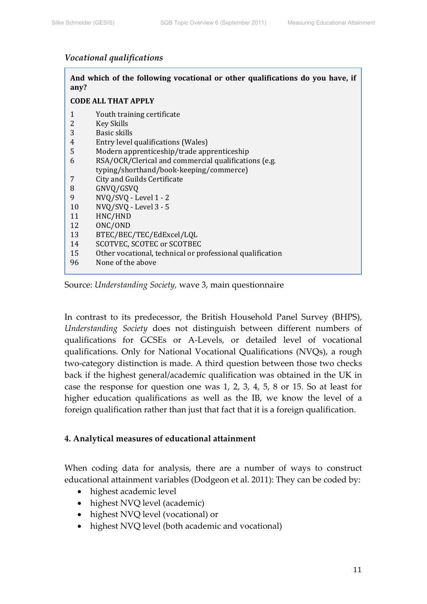#### *Vocational qualifications*

| any? | And which of the following vocational or other qualifications do you have, if |  |  |  |  |
|------|-------------------------------------------------------------------------------|--|--|--|--|
|      | <b>CODE ALL THAT APPLY</b>                                                    |  |  |  |  |
| 1    | Youth training certificate                                                    |  |  |  |  |
| 2    | <b>Key Skills</b>                                                             |  |  |  |  |
| 3    | Basic skills                                                                  |  |  |  |  |
| 4    | Entry level qualifications (Wales)                                            |  |  |  |  |
| 5    | Modern apprenticeship/trade apprenticeship                                    |  |  |  |  |
| 6    | RSA/OCR/Clerical and commercial qualifications (e.g.                          |  |  |  |  |
|      | typing/shorthand/book-keeping/commerce)                                       |  |  |  |  |
| 7    | City and Guilds Certificate                                                   |  |  |  |  |
| 8    | GNVQ/GSVQ                                                                     |  |  |  |  |
| 9    | NVQ/SVQ - Level 1 - 2                                                         |  |  |  |  |
| 10   | NVQ/SVQ - Level 3 - 5                                                         |  |  |  |  |
| 11   | HNC/HND                                                                       |  |  |  |  |
| 12   | ONC/OND                                                                       |  |  |  |  |
| 13   | BTEC/BEC/TEC/EdExcel/LQL                                                      |  |  |  |  |
| 14   | <b>SCOTVEC, SCOTEC or SCOTBEC</b>                                             |  |  |  |  |
| 15   | Other vocational, technical or professional qualification                     |  |  |  |  |
| 96   | None of the above                                                             |  |  |  |  |
|      |                                                                               |  |  |  |  |

Source: *Understanding Society,* wave 3, main questionnaire

In contrast to its predecessor, the British Household Panel Survey (BHPS), *Understanding Society* does not distinguish between different numbers of qualifications for GCSEs or A‐Levels, or detailed level of vocational qualifications. Only for National Vocational Qualifications (NVQs), a rough two-category distinction is made. A third question between those two checks back if the highest general/academic qualification was obtained in the UK in case the response for question one was 1, 2, 3, 4, 5, 8 or 15. So at least for higher education qualifications as well as the IB, we know the level of a foreign qualification rather than just that fact that it is a foreign qualification.

# **4. Analytical measures of educational attainment**

When coding data for analysis, there are a number of ways to construct educational attainment variables (Dodgeon et al. 2011): They can be coded by:

- highest academic level
- highest NVQ level (academic)
- highest NVQ level (vocational) or
- highest NVQ level (both academic and vocational)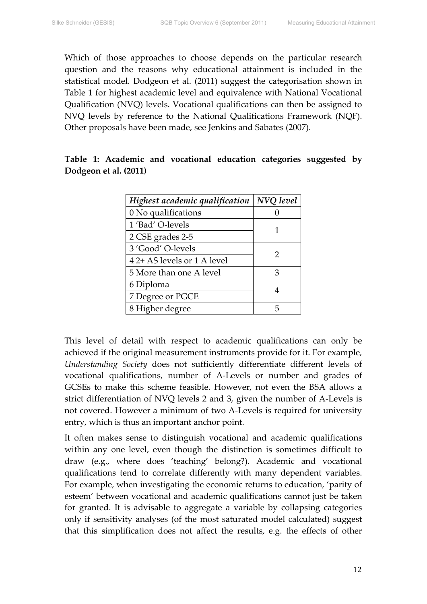Which of those approaches to choose depends on the particular research question and the reasons why educational attainment is included in the statistical model. Dodgeon et al. (2011) suggest the categorisation shown in Table 1 for highest academic level and equivalence with National Vocational Qualification (NVQ) levels. Vocational qualifications can then be assigned to NVQ levels by reference to the National Qualifications Framework (NQF). Other proposals have been made, see Jenkins and Sabates (2007).

|  |                       | Table 1: Academic and vocational education categories suggested by |  |  |
|--|-----------------------|--------------------------------------------------------------------|--|--|
|  | Dodgeon et al. (2011) |                                                                    |  |  |

| Highest academic qualification | NVQ level |
|--------------------------------|-----------|
| 0 No qualifications            |           |
| 1 'Bad' O-levels               |           |
| 2 CSE grades 2-5               |           |
| 3 'Good' O-levels              | 2         |
| 4 2+ AS levels or 1 A level    |           |
| 5 More than one A level        | З         |
| 6 Diploma                      |           |
| 7 Degree or PGCE               |           |
| 8 Higher degree                |           |

This level of detail with respect to academic qualifications can only be achieved if the original measurement instruments provide for it. For example*, Understanding Society* does not sufficiently differentiate different levels of vocational qualifications, number of A‐Levels or number and grades of GCSEs to make this scheme feasible. However, not even the BSA allows a strict differentiation of NVQ levels 2 and 3, given the number of A‐Levels is not covered. However a minimum of two A‐Levels is required for university entry, which is thus an important anchor point.

It often makes sense to distinguish vocational and academic qualifications within any one level, even though the distinction is sometimes difficult to draw (e.g., where does 'teaching' belong?). Academic and vocational qualifications tend to correlate differently with many dependent variables. For example, when investigating the economic returns to education, 'parity of esteem' between vocational and academic qualifications cannot just be taken for granted. It is advisable to aggregate a variable by collapsing categories only if sensitivity analyses (of the most saturated model calculated) suggest that this simplification does not affect the results, e.g. the effects of other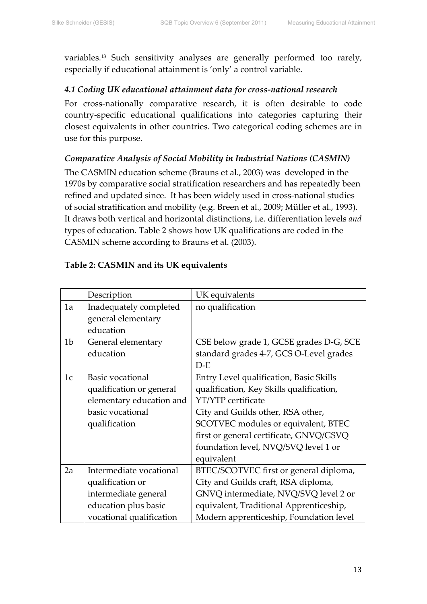variables.13 Such sensitivity analyses are generally performed too rarely, especially if educational attainment is 'only' a control variable.

#### *4.1 Coding UK educational attainment data for cross‐national research*

For cross-nationally comparative research, it is often desirable to code country‐specific educational qualifications into categories capturing their closest equivalents in other countries. Two categorical coding schemes are in use for this purpose.

# *Comparative Analysis of Social Mobility in Industrial Nations (CASMIN)*

The CASMIN education scheme (Brauns et al., 2003) was developed in the 1970s by comparative social stratification researchers and has repeatedly been refined and updated since. It has been widely used in cross-national studies of social stratification and mobility (e.g. Breen et al., 2009; Müller et al., 1993). It draws both vertical and horizontal distinctions, i.e. differentiation levels *and* types of education. Table 2 shows how UK qualifications are coded in the CASMIN scheme according to Brauns et al. (2003).

|                | Description              | UK equivalents                           |
|----------------|--------------------------|------------------------------------------|
| 1a             | Inadequately completed   | no qualification                         |
|                | general elementary       |                                          |
|                | education                |                                          |
| 1 <sub>b</sub> | General elementary       | CSE below grade 1, GCSE grades D-G, SCE  |
|                | education                | standard grades 4-7, GCS O-Level grades  |
|                |                          | $D-E$                                    |
| 1 <sub>c</sub> | Basic vocational         | Entry Level qualification, Basic Skills  |
|                | qualification or general | qualification, Key Skills qualification, |
|                | elementary education and | <b>YT/YTP</b> certificate                |
|                | basic vocational         | City and Guilds other, RSA other,        |
|                | qualification            | SCOTVEC modules or equivalent, BTEC      |
|                |                          | first or general certificate, GNVQ/GSVQ  |
|                |                          | foundation level, NVQ/SVQ level 1 or     |
|                |                          | equivalent                               |
| 2a             | Intermediate vocational  | BTEC/SCOTVEC first or general diploma,   |
|                | qualification or         | City and Guilds craft, RSA diploma,      |
|                | intermediate general     | GNVQ intermediate, NVQ/SVQ level 2 or    |
|                | education plus basic     | equivalent, Traditional Apprenticeship,  |
|                | vocational qualification | Modern apprenticeship, Foundation level  |

#### **Table 2: CASMIN and its UK equivalents**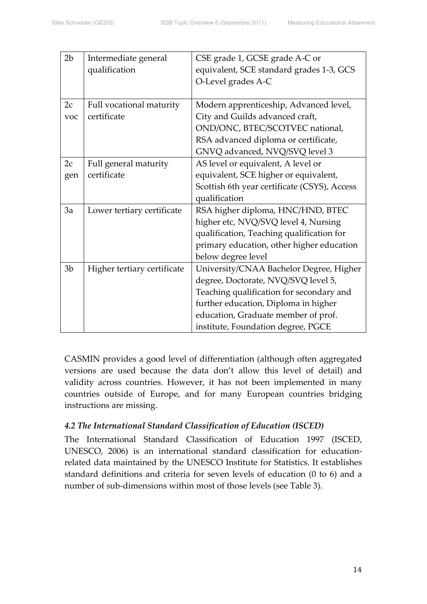| 2 <sub>b</sub> | Intermediate general        | CSE grade 1, GCSE grade A-C or               |
|----------------|-----------------------------|----------------------------------------------|
|                | qualification               | equivalent, SCE standard grades 1-3, GCS     |
|                |                             | O-Level grades A-C                           |
|                |                             |                                              |
| 2c             | Full vocational maturity    | Modern apprenticeship, Advanced level,       |
| voc            | certificate                 | City and Guilds advanced craft,              |
|                |                             | OND/ONC, BTEC/SCOTVEC national,              |
|                |                             | RSA advanced diploma or certificate,         |
|                |                             | GNVQ advanced, NVQ/SVQ level 3               |
| 2c             | Full general maturity       | AS level or equivalent, A level or           |
| gen            | certificate                 | equivalent, SCE higher or equivalent,        |
|                |                             | Scottish 6th year certificate (CSYS), Access |
|                |                             | qualification                                |
| 3a             | Lower tertiary certificate  | RSA higher diploma, HNC/HND, BTEC            |
|                |                             | higher etc, NVQ/SVQ level 4, Nursing         |
|                |                             | qualification, Teaching qualification for    |
|                |                             | primary education, other higher education    |
|                |                             | below degree level                           |
| 3 <sub>b</sub> | Higher tertiary certificate | University/CNAA Bachelor Degree, Higher      |
|                |                             | degree, Doctorate, NVQ/SVQ level 5,          |
|                |                             | Teaching qualification for secondary and     |
|                |                             | further education, Diploma in higher         |
|                |                             | education, Graduate member of prof.          |
|                |                             | institute, Foundation degree, PGCE           |

CASMIN provides a good level of differentiation (although often aggregated versions are used because the data don't allow this level of detail) and validity across countries. However, it has not been implemented in many countries outside of Europe, and for many European countries bridging instructions are missing.

# *4.2 The International Standard Classification of Education (ISCED)*

The International Standard Classification of Education 1997 (ISCED, UNESCO, 2006) is an international standard classification for education‐ related data maintained by the UNESCO Institute for Statistics. It establishes standard definitions and criteria for seven levels of education (0 to 6) and a number of sub-dimensions within most of those levels (see Table 3).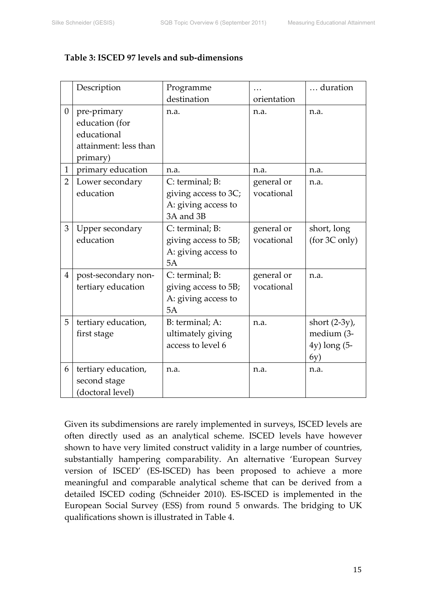#### **Table 3: ISCED 97 levels and sub‐dimensions**

|                | Description           | Programme            |             | duration         |
|----------------|-----------------------|----------------------|-------------|------------------|
|                |                       | destination          | orientation |                  |
| $\overline{0}$ | pre-primary           | n.a.                 | n.a.        | n.a.             |
|                | education (for        |                      |             |                  |
|                | educational           |                      |             |                  |
|                | attainment: less than |                      |             |                  |
|                | primary)              |                      |             |                  |
| $\mathbf{1}$   | primary education     | n.a.                 | n.a.        | n.a.             |
| $\overline{2}$ | Lower secondary       | C: terminal; B:      | general or  | n.a.             |
|                | education             | giving access to 3C; | vocational  |                  |
|                |                       | A: giving access to  |             |                  |
|                |                       | 3A and 3B            |             |                  |
| 3              | Upper secondary       | C: terminal; B:      | general or  | short, long      |
|                | education             | giving access to 5B; | vocational  | (for 3C only)    |
|                |                       | A: giving access to  |             |                  |
|                |                       | 5A                   |             |                  |
| $\overline{4}$ | post-secondary non-   | C: terminal; B:      | general or  | n.a.             |
|                | tertiary education    | giving access to 5B; | vocational  |                  |
|                |                       | A: giving access to  |             |                  |
|                |                       | 5A                   |             |                  |
| 5              | tertiary education,   | B: terminal; A:      | n.a.        | short $(2-3y)$ , |
|                | first stage           | ultimately giving    |             | medium (3-       |
|                |                       | access to level 6    |             | $4y)$ long $(5-$ |
|                |                       |                      |             | 6y)              |
| 6              | tertiary education,   | n.a.                 | n.a.        | n.a.             |
|                | second stage          |                      |             |                  |
|                | (doctoral level)      |                      |             |                  |

Given its subdimensions are rarely implemented in surveys, ISCED levels are often directly used as an analytical scheme. ISCED levels have however shown to have very limited construct validity in a large number of countries, substantially hampering comparability. An alternative 'European Survey version of ISCED' (ES‐ISCED) has been proposed to achieve a more meaningful and comparable analytical scheme that can be derived from a detailed ISCED coding (Schneider 2010). ES‐ISCED is implemented in the European Social Survey (ESS) from round 5 onwards. The bridging to UK qualifications shown is illustrated in Table 4.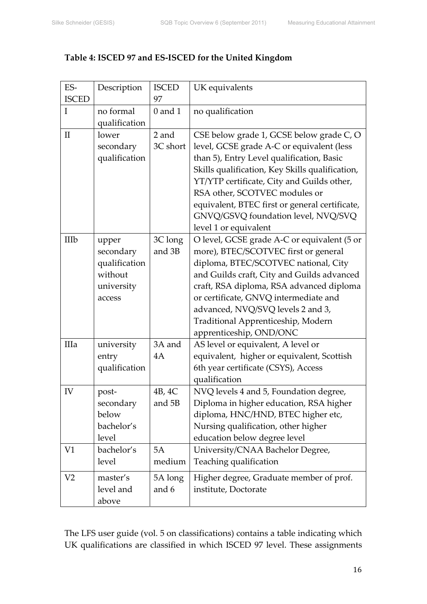# **Table 4: ISCED 97 and ES‐ISCED for the United Kingdom**

| ES-<br><b>ISCED</b> | Description                                                            | <b>ISCED</b><br>97 | UK equivalents                                                                                                                                                                                                                                                                                                                                                                         |
|---------------------|------------------------------------------------------------------------|--------------------|----------------------------------------------------------------------------------------------------------------------------------------------------------------------------------------------------------------------------------------------------------------------------------------------------------------------------------------------------------------------------------------|
| $\mathbf I$         | no formal<br>qualification                                             | $0$ and $1$        | no qualification                                                                                                                                                                                                                                                                                                                                                                       |
| $\mathbf{I}$        | lower<br>secondary<br>qualification                                    | 2 and<br>3C short  | CSE below grade 1, GCSE below grade C, O<br>level, GCSE grade A-C or equivalent (less<br>than 5), Entry Level qualification, Basic<br>Skills qualification, Key Skills qualification,<br>YT/YTP certificate, City and Guilds other,<br>RSA other, SCOTVEC modules or<br>equivalent, BTEC first or general certificate,<br>GNVQ/GSVQ foundation level, NVQ/SVQ<br>level 1 or equivalent |
| IIIb                | upper<br>secondary<br>qualification<br>without<br>university<br>access | 3C long<br>and 3B  | O level, GCSE grade A-C or equivalent (5 or<br>more), BTEC/SCOTVEC first or general<br>diploma, BTEC/SCOTVEC national, City<br>and Guilds craft, City and Guilds advanced<br>craft, RSA diploma, RSA advanced diploma<br>or certificate, GNVQ intermediate and<br>advanced, NVQ/SVQ levels 2 and 3,<br>Traditional Apprenticeship, Modern<br>apprenticeship, OND/ONC                   |
| IIIa                | university<br>entry<br>qualification                                   | 3A and<br>4A       | AS level or equivalent, A level or<br>equivalent, higher or equivalent, Scottish<br>6th year certificate (CSYS), Access<br>qualification                                                                                                                                                                                                                                               |
| IV                  | post-<br>secondary<br>below<br>bachelor's<br>level                     | 4B, 4C<br>and 5B   | NVQ levels 4 and 5, Foundation degree,<br>Diploma in higher education, RSA higher<br>diploma, HNC/HND, BTEC higher etc,<br>Nursing qualification, other higher<br>education below degree level                                                                                                                                                                                         |
| V <sub>1</sub>      | bachelor's<br>level                                                    | 5A<br>medium       | University/CNAA Bachelor Degree,<br>Teaching qualification                                                                                                                                                                                                                                                                                                                             |
| V <sub>2</sub>      | master's<br>level and<br>above                                         | 5A long<br>and 6   | Higher degree, Graduate member of prof.<br>institute, Doctorate                                                                                                                                                                                                                                                                                                                        |

The LFS user guide (vol. 5 on classifications) contains a table indicating which UK qualifications are classified in which ISCED 97 level. These assignments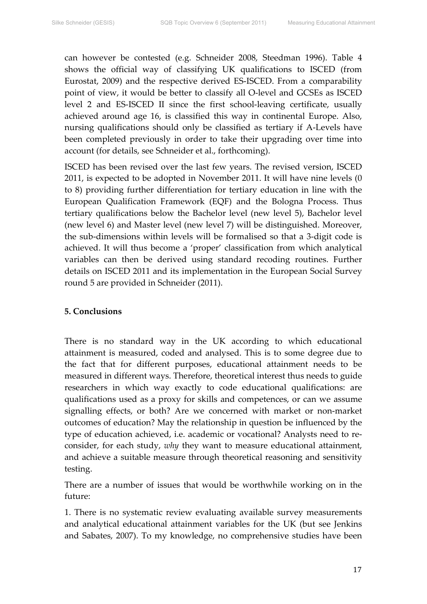can however be contested (e.g. Schneider 2008, Steedman 1996). Table 4 shows the official way of classifying UK qualifications to ISCED (from Eurostat, 2009) and the respective derived ES‐ISCED. From a comparability point of view, it would be better to classify all O‐level and GCSEs as ISCED level 2 and ES‐ISCED II since the first school‐leaving certificate, usually achieved around age 16, is classified this way in continental Europe. Also, nursing qualifications should only be classified as tertiary if A‐Levels have been completed previously in order to take their upgrading over time into account (for details, see Schneider et al., forthcoming).

ISCED has been revised over the last few years. The revised version, ISCED 2011, is expected to be adopted in November 2011. It will have nine levels (0 to 8) providing further differentiation for tertiary education in line with the European Qualification Framework (EQF) and the Bologna Process. Thus tertiary qualifications below the Bachelor level (new level 5), Bachelor level (new level 6) and Master level (new level 7) will be distinguished. Moreover, the sub‐dimensions within levels will be formalised so that a 3‐digit code is achieved. It will thus become a 'proper' classification from which analytical variables can then be derived using standard recoding routines. Further details on ISCED 2011 and its implementation in the European Social Survey round 5 are provided in Schneider (2011).

#### **5. Conclusions**

There is no standard way in the UK according to which educational attainment is measured, coded and analysed. This is to some degree due to the fact that for different purposes, educational attainment needs to be measured in different ways. Therefore, theoretical interest thus needs to guide researchers in which way exactly to code educational qualifications: are qualifications used as a proxy for skills and competences, or can we assume signalling effects, or both? Are we concerned with market or non-market outcomes of education? May the relationship in question be influenced by the type of education achieved, i.e. academic or vocational? Analysts need to reconsider, for each study, *why* they want to measure educational attainment, and achieve a suitable measure through theoretical reasoning and sensitivity testing.

There are a number of issues that would be worthwhile working on in the future:

1. There is no systematic review evaluating available survey measurements and analytical educational attainment variables for the UK (but see Jenkins and Sabates, 2007). To my knowledge, no comprehensive studies have been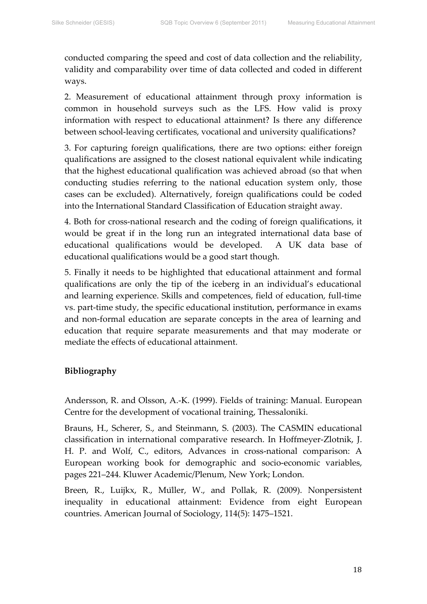conducted comparing the speed and cost of data collection and the reliability, validity and comparability over time of data collected and coded in different ways.

2. Measurement of educational attainment through proxy information is common in household surveys such as the LFS. How valid is proxy information with respect to educational attainment? Is there any difference between school-leaving certificates, vocational and university qualifications?

3. For capturing foreign qualifications, there are two options: either foreign qualifications are assigned to the closest national equivalent while indicating that the highest educational qualification was achieved abroad (so that when conducting studies referring to the national education system only, those cases can be excluded). Alternatively, foreign qualifications could be coded into the International Standard Classification of Education straight away.

4. Both for cross‐national research and the coding of foreign qualifications, it would be great if in the long run an integrated international data base of educational qualifications would be developed. A UK data base of educational qualifications would be a good start though.

5. Finally it needs to be highlighted that educational attainment and formal qualifications are only the tip of the iceberg in an individual's educational and learning experience. Skills and competences, field of education, full-time vs. part-time study, the specific educational institution, performance in exams and non‐formal education are separate concepts in the area of learning and education that require separate measurements and that may moderate or mediate the effects of educational attainment.

#### **Bibliography**

Andersson, R. and Olsson, A.‐K. (1999). Fields of training: Manual. European Centre for the development of vocational training, Thessaloniki.

Brauns, H., Scherer, S., and Steinmann, S. (2003). The CASMIN educational classification in international comparative research. In Hoffmeyer‐Zlotnik, J. H. P. and Wolf, C., editors, Advances in cross-national comparison: A European working book for demographic and socio‐economic variables, pages 221–244. Kluwer Academic/Plenum, New York; London.

Breen, R., Luijkx, R., Müller, W., and Pollak, R. (2009). Nonpersistent inequality in educational attainment: Evidence from eight European countries. American Journal of Sociology, 114(5): 1475–1521.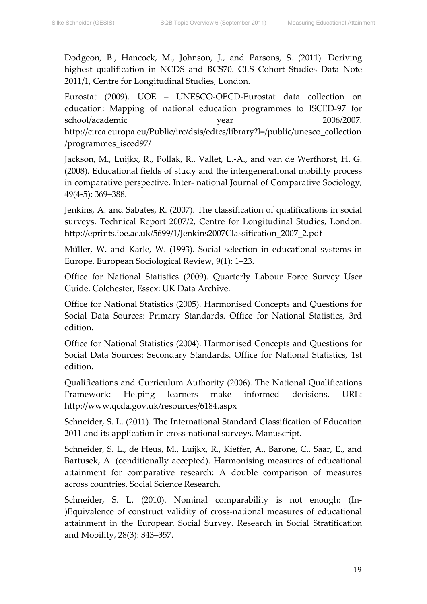Dodgeon, B., Hancock, M., Johnson, J., and Parsons, S. (2011). Deriving highest qualification in NCDS and BCS70. CLS Cohort Studies Data Note 2011/1, Centre for Longitudinal Studies, London.

Eurostat (2009). UOE – UNESCO‐OECD‐Eurostat data collection on education: Mapping of national education programmes to ISCED‐97 for school/academic year 2006/2007. http://circa.europa.eu/Public/irc/dsis/edtcs/library?l=/public/unesco\_collection /programmes\_isced97/

Jackson, M., Luijkx, R., Pollak, R., Vallet, L.‐A., and van de Werfhorst, H. G. (2008). Educational fields of study and the intergenerational mobility process in comparative perspective. Inter‐ national Journal of Comparative Sociology, 49(4‐5): 369–388.

Jenkins, A. and Sabates, R. (2007). The classification of qualifications in social surveys. Technical Report 2007/2, Centre for Longitudinal Studies, London. http://eprints.ioe.ac.uk/5699/1/Jenkins2007Classification\_2007\_2.pdf

Müller, W. and Karle, W. (1993). Social selection in educational systems in Europe. European Sociological Review, 9(1): 1–23.

Office for National Statistics (2009). Quarterly Labour Force Survey User Guide. Colchester, Essex: UK Data Archive.

Office for National Statistics (2005). Harmonised Concepts and Questions for Social Data Sources: Primary Standards. Office for National Statistics, 3rd edition.

Office for National Statistics (2004). Harmonised Concepts and Questions for Social Data Sources: Secondary Standards. Office for National Statistics, 1st edition.

Qualifications and Curriculum Authority (2006). The National Qualifications Framework: Helping learners make informed decisions. URL: http://www.qcda.gov.uk/resources/6184.aspx

Schneider, S. L. (2011). The International Standard Classification of Education 2011 and its application in cross‐national surveys. Manuscript.

Schneider, S. L., de Heus, M., Luijkx, R., Kieffer, A., Barone, C., Saar, E., and Bartusek, A. (conditionally accepted). Harmonising measures of educational attainment for comparative research: A double comparison of measures across countries. Social Science Research.

Schneider, S. L. (2010). Nominal comparability is not enough: (In-)Equivalence of construct validity of cross‐national measures of educational attainment in the European Social Survey. Research in Social Stratification and Mobility, 28(3): 343–357.